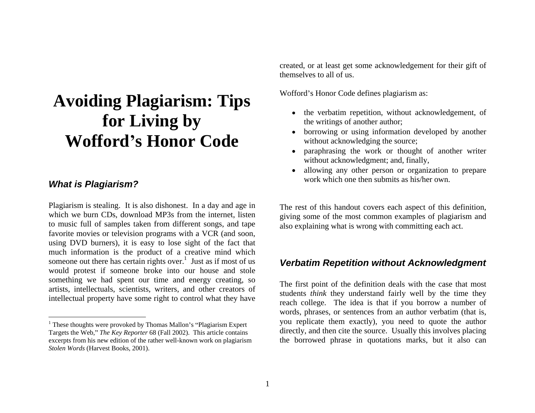# **Avoiding Plagiarism: Tips for Living by Wofford s Honor Code**

Plagiarism is stealing. It is also dishonest. In a day and age in to music full of samples taken from different songs, and tape favorite movies or television programs with a VCR (and soon, using DVD burners), it is easy to lose sight of the fact that much information is the product of a creative mind which someone out there has certain rights over.<sup>1</sup> Just as if most of us would protest if someone broke into our house and stole something we had spent our time and energy creating, so artists, intellectuals, scientists, writers, and other creators of intellectual property have some right to control what they have

created, or at least get some acknowledgement for their gift of themselves to all of us.

Wofford's Honor Code defines plagiarism as:

- the verbatim repetition, without acknowledgement, of the writings of another author;
- borrowing or using information developed by another without acknowledging the source;
- paraphrasing the work or thought of another writer without acknowledgment; and, finally,
- **What is Plagiarism?** Work Which one their submits as institutional conduct of the **What is Plagiarism?** • allowing any other person or organization to prepare work which one then submits as his/her own.

which we burn CDs, download MP3s from the internet, listen giving some of the most common examples of plagiarism and The rest of this handout covers each aspect of this definition, also explaining what is wrong with committing each act.

## Just as if most of us **Verbatim Repetition without Acknowledgment**

words, phases, or sentences from an addition verbath (that is,<br><sup>1</sup> These thoughts were provoked by Thomas Mallon's "Plagiarism Expert" you replicate them exactly), you need to quote the author The first point of the definition deals with the case that most students *think* they understand fairly well by the time they reach college. The idea is that if you borrow a number of words, phrases, or sentences from an author verbatim (that is, directly, and then cite the source. Usually this involves placing the borrowed phrase in quotations marks, but it also can

 $1$  These thoughts were provoked by Thomas Mallon's "Plagiarism Expert" Targets the Web," *The Key Reporter* 68 (Fall 2002). This article contains excerpts from his new edition of the rather well-known work on plagiarism *Stolen Words* (Harvest Books, 2001).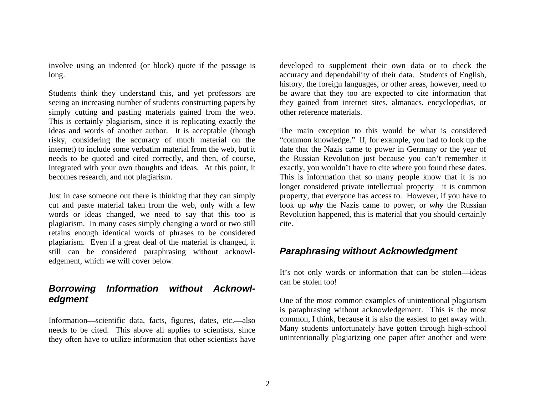Students think they understand this, and yet professors are be aware that they too are expected to cite information that seeing an increasing number of students constructing papers by they gained from internet sites, almanacs, encyclopedias, or simply cutting and pasting materials gained from the web. This is certainly plagiarism, since it is replicating exactly the ideas and words of another author. It is acceptable (though The main exception to this would be what is considered risky, considering the accuracy of much material on the "common knowledge." If, for example, you had to look up the internet) to include some verbatim material from the web, but it date that the Nazis came to power in Germany or the year of needs to be quoted and cited correctly, and then, of course, the Russian Revolution just because you can t remember it integrated with your own thoughts and ideas. At this point, it exactly, you wouldn't have to cite where you found these dates.

plagiarism. In many cases simply changing a word or two still retains enough identical words of phrases to be considered plagiarism. Even if a great deal of the material is changed, it still can be considered paraphrasing without acknowl edgement, which we will cover below.

## **Borrowing Information without Acknowl edgment** examples of unintentional plagiarism one of the most common examples of unintentional plagiarism

Information—scientific data, facts, figures, dates, etc.—also needs to be cited. This above all applies to scientists, since they often have to utilize information that other scientists have

involve using an indented (or block) quote if the passage is developed to supplement their own data or to check the long. accuracy and dependability of their data. Students of English, history, the foreign languages, or other areas, however, need to other reference materials.

becomes research, and not plagiarism. This is information that so many people know that it is no Just in case someone out there is thinking that they can simply property, that everyone has access to. However, if you have to cut and paste material taken from the web, only with a few look up *why* the Nazis came to power, or *why* the Russian words or ideas changed, we need to say that this too is Revolution happened, this is material that you should certainly longer considered private intellectual property—it is common cite.

## **Paraphrasing without Acknowledgment**

It's not only words or information that can be stolen—ideas can be stolen too!

is paraphrasing without acknowledgement. This is the most common, I think, because it is also the easiest to get away with. Many students unfortunately have gotten through high-school unintentionally plagiarizing one paper after another and were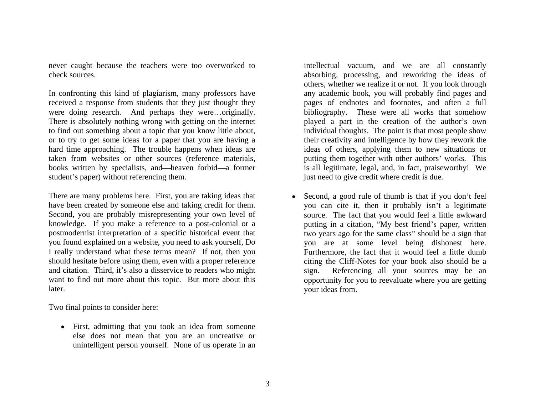never caught because the teachers were too overworked to check sources. absorbing, processing, and reworking the ideas of

In confronting this kind of plagiarism, many professors have received a response from students that they just thought they were doing research. And perhaps they were...originally. There is absolutely nothing wrong with getting on the internet to find out something about a topic that you know little about, or to try to get some ideas for a paper that you are having a hard time approaching. The trouble happens when ideas are taken from websites or other sources (reference materials, books written by specialists, and—heaven forbid—a former student's paper) without referencing them.  $j$  is theed to give credit where credit is due.

There are many problems here. First, you are taking ideas that  $\bullet$ have been created by someone else and taking credit for them. you can cite it, then it probably isn't a legitimate Second, you are probably misrepresenting your own level of knowledge. If you make a reference to a post-colonial or a sequely putting in a citation, "My best friend's paper, written postmodernist interpretation of a specific historical event that two years ago for the same class" should be a sign that you found explained on a website, you need to ask yourself, Do I really understand what these terms mean? If not, then you should hesitate before using them, even with a proper reference and citation. Third, it's also a disservice to readers who might sign. want to find out more about this topic. But more about this opportunity for you to reevaluate where you are getting later. your ideas from.

Two final points to consider here:

First, admitting that you took an idea from someone else does not mean that you are an uncreative or unintelligent person yourself. None of us operate in an

intellectual vacuum, and we are all constantly others, whether we realize it or not. If you look through any academic book, you will probably find pages and pages of endnotes and footnotes, and often a full bibliography. These were all works that somehow played a part in the creation of the author's own individual thoughts. The point is that most people show their creativity and intelligence by how they rework the ideas of others, applying them to new situations or putting them together with other authors' works. This is all legitimate, legal, and, in fact, praiseworthy! We

Second, a good rule of thumb is that if you don't feel source. The fact that you would feel a little awkward you are at some level being dishonest here. Furthermore, the fact that it would feel a little dumb citing the Cliff-Notes for your book also should be a Referencing all your sources may be an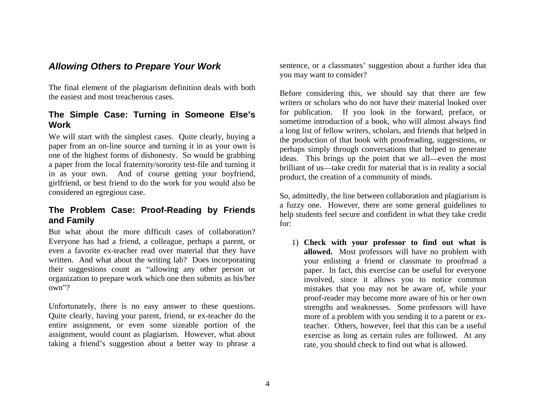The final element of the plagiarism definition deals with both the easiest and most treacherous cases.

# **The Simple Case: Turning in Someone Else s**

We will start with the simplest cases. Ouite clearly, buying a paper from an on-line source and turning it in as your own is one of the highest forms of dishonesty. So would be grabbing a paper from the local fraternity/sorority test-file and turning it in as your own. And of course getting your boyfriend, girlfriend, or best friend to do the work for you would also be

# **The Problem Case: Proof-Reading by Friends**

But what about the more difficult cases of collaboration? Everyone has had a friend, a colleague, perhaps a parent, or 1) **Check with your professor to find out what is** even a favorite ex-teacher read over material that they have **allowed.** Most professors will have no problem with written. And what about the writing lab? Does incorporating their suggestions count as "allowing any other person or organization to prepare work which one then submits as his/her

Unfortunately, there is no easy answer to these questions. Strengths and weaknesses. Some professors will have Quite clearly, having your parent, friend, or ex-teacher do the more of a problem with you sending it to a parent or exentire assignment, or even some sizeable portion of the assignment, would count as plagiarism. However, what about taking a friend's suggestion about a better way to phrase a

**Allowing Others to Prepare Your Work** Sentence, or a classmates' suggestion about a further idea that you may want to consider?

**Work** sometime introduction of a book, who will almost always find Before considering this, we should say that there are few writers or scholars who do not have their material looked over for publication. If you look in the forward, preface, or a long list of fellow writers, scholars, and friends that helped in the production of that book with proofreading, suggestions, or perhaps simply through conversations that helped to generate ideas. This brings up the point that we all—even the most brilliant of us—take credit for material that is in reality a social product, the creation of a community of minds.

considered an egregious case. So, admittedly, the line between collaboration and plagiarism is **and Family** the section and connecting the section of the section of the section of the section of the section of  $\frac{1}{2}$ a fuzzy one. However, there are some general guidelines to help students feel secure and confident in what they take credit for:

own ? mistakes that you may not be aware of, while your your enlisting a friend or classmate to proofread a paper. In fact, this exercise can be useful for everyone involved, since it allows you to notice common proof-reader may become more aware of his or her own teacher. Others, however, feel that this can be a useful exercise as long as certain rules are followed. At any rate, you should check to find out what is allowed.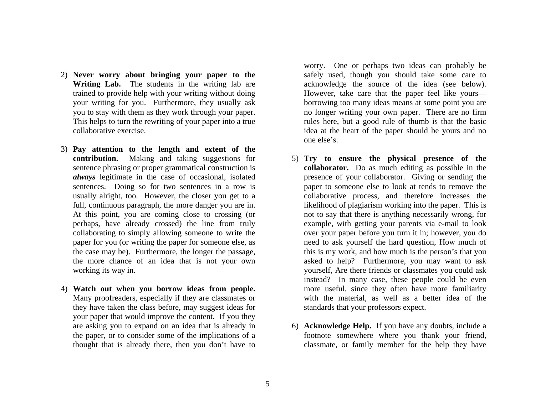- 2) **Never worry about bringing your paper to the**
- 3) **Pay attention to the length and extent of the** sentences. Doing so for two sentences in a row is
- 4) **Watch out when you borrow ideas from people.** Many proofreaders, especially if they are classmates or they have taken the class before, may suggest ideas for your paper that would improve the content. If you they

Writing Lab. The students in the writing lab are acknowledge the source of the idea (see below). trained to provide help with your writing without doing However, take care that the paper feel like yours your writing for you. Furthermore, they usually ask borrowing too many ideas means at some point you are you to stay with them as they work through your paper. no longer writing your own paper. There are no firm This helps to turn the rewriting of your paper into a true rules here, but a good rule of thumb is that the basic collaborative exercise. idea at the heart of the paper should be yours and no worry. One or perhaps two ideas can probably be safely used, though you should take some care to one else's.

- **contribution.** Making and taking suggestions for 5) **Try to ensure the physical presence of the** sentence phrasing or proper grammatical construction is **collaborator.** Do as much editing as possible in the *always* legitimate in the case of occasional, isolated presence of your collaborator. Giving or sending the usually alright, too. However, the closer you get to a collaborative process, and therefore increases the full, continuous paragraph, the more danger you are in. likelihood of plagiarism working into the paper. This is At this point, you are coming close to crossing (or not to say that there is anything necessarily wrong, for perhaps, have already crossed) the line from truly example, with getting your parents via e-mail to look collaborating to simply allowing someone to write the over your paper before you turn it in; however, you do paper for you (or writing the paper for someone else, as need to ask yourself the hard question, How much of the case may be). Furthermore, the longer the passage, this is my work, and how much is the person's that you the more chance of an idea that is not your own asked to help? Furthermore, you may want to ask working its way in. yourself, Are there friends or classmates you could ask paper to someone else to look at tends to remove the instead? In many case, these people could be even more useful, since they often have more familiarity with the material, as well as a better idea of the standards that your professors expect.
- are asking you to expand on an idea that is already in 6) **Acknowledge Help.** If you have any doubts, include a the paper, or to consider some of the implications of a footnote somewhere where you thank your friend, thought that is already there, then you don't have to classmate, or family member for the help they have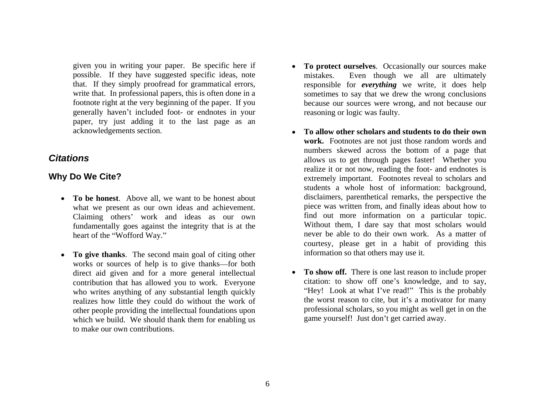possible. If they have suggested specific ideas, note footnote right at the very beginning of the paper. If you generally haven't included foot- or endnotes in your paper, try just adding it to the last page as an

- **To be honest**. Above all, we want to be honest about what we present as our own ideas and achievement. Claiming others' work and ideas as our own fundamentally goes against the integrity that is at the
- **To give thanks**. The second main goal of citing other works or sources of help is to give thanks—for both direct aid given and for a more general intellectual contribution that has allowed you to work. Everyone who writes anything of any substantial length quickly realizes how little they could do without the work of other people providing the intellectual foundations upon which we build. We should thank them for enabling us to make our own contributions.
- given you in writing your paper. Be specific here if **To protect ourselves**. Occasionally our sourcesmake that. If they simply proofread for grammatical errors, responsible for *everything* we write, it does help write that. In professional papers, this is often done in a sometimes to say that we drew the wrong conclusions Even though we all are ultimately because our sources were wrong, and not because our reasoning or logic was faulty.
- acknowledgements section. **To allow other scholars and students to do their own Citations** extends the same of the same of the same of the same of the same of the same of the same of the same of the same of the same of the same of the same of the same of the same of the same of the same of the same o **Why Do We Cite? Extremely important.** Footnotes reveal to scholars and heart of the "Wofford Way." never be able to do their own work. As a matter of **work.** Footnotes are not just those random words and numbers skewed across the bottom of a page that realize it or not now, reading the foot- and endnotes is students a whole host of information: background, disclaimers, parenthetical remarks, the perspective the piece was written from, and finally ideas about how to find out more information on a particular topic. Without them, I dare say that most scholars would courtesy, please get in a habit of providing this information so that others may use it.
	- **To show off.** There is one last reason to include proper citation: to show off one's knowledge, and to say, "Hey! Look at what I've read!" This is the probably the worst reason to cite, but it's a motivator for many professional scholars, so you might as well get in on the game yourself! Just don't get carried away.